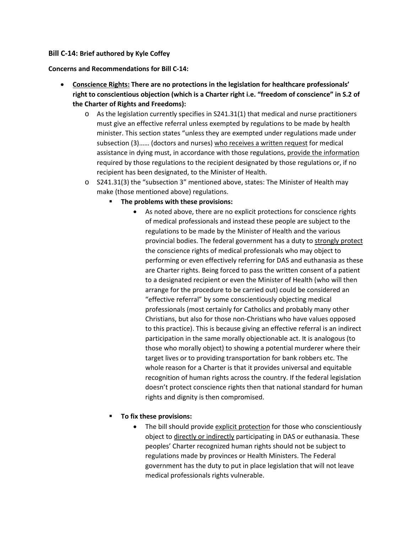## **Bill C-14: Brief authored by Kyle Coffey**

## **Concerns and Recommendations for Bill C-14:**

- **Conscience Rights: There are no protections in the legislation for healthcare professionals' right to conscientious objection (which is a Charter right i.e. "freedom of conscience" in S.2 of the Charter of Rights and Freedoms):**
	- o As the legislation currently specifies in S241.31(1) that medical and nurse practitioners must give an effective referral unless exempted by regulations to be made by health minister. This section states "unless they are exempted under regulations made under subsection (3)...... (doctors and nurses) who receives a written request for medical assistance in dying must, in accordance with those regulations, provide the information required by those regulations to the recipient designated by those regulations or, if no recipient has been designated, to the Minister of Health.
	- o S241.31(3) the "subsection 3" mentioned above, states: The Minister of Health may make (those mentioned above) regulations.
		- **The problems with these provisions:**
			- As noted above, there are no explicit protections for conscience rights of medical professionals and instead these people are subject to the regulations to be made by the Minister of Health and the various provincial bodies. The federal government has a duty to strongly protect the conscience rights of medical professionals who may object to performing or even effectively referring for DAS and euthanasia as these are Charter rights. Being forced to pass the written consent of a patient to a designated recipient or even the Minister of Health (who will then arrange for the procedure to be carried out) could be considered an "effective referral" by some conscientiously objecting medical professionals (most certainly for Catholics and probably many other Christians, but also for those non-Christians who have values opposed to this practice). This is because giving an effective referral is an indirect participation in the same morally objectionable act. It is analogous (to those who morally object) to showing a potential murderer where their target lives or to providing transportation for bank robbers etc. The whole reason for a Charter is that it provides universal and equitable recognition of human rights across the country. If the federal legislation doesn't protect conscience rights then that national standard for human rights and dignity is then compromised.

## **To fix these provisions:**

• The bill should provide explicit protection for those who conscientiously object to directly or indirectly participating in DAS or euthanasia. These peoples' Charter recognized human rights should not be subject to regulations made by provinces or Health Ministers. The Federal government has the duty to put in place legislation that will not leave medical professionals rights vulnerable.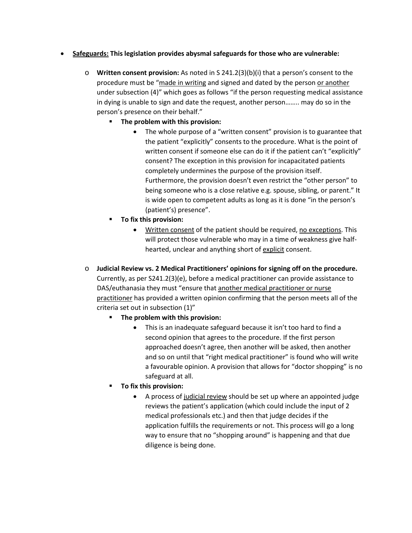## • **Safeguards: This legislation provides abysmal safeguards for those who are vulnerable:**

- o **Written consent provision:** As noted in S 241.2(3)(b)(i) that a person's consent to the procedure must be "made in writing and signed and dated by the person or another under subsection (4)" which goes as follows "if the person requesting medical assistance in dying is unable to sign and date the request, another person…….. may do so in the person's presence on their behalf."
	- **The problem with this provision:**
		- The whole purpose of a "written consent" provision is to guarantee that the patient "explicitly" consents to the procedure. What is the point of written consent if someone else can do it if the patient can't "explicitly" consent? The exception in this provision for incapacitated patients completely undermines the purpose of the provision itself. Furthermore, the provision doesn't even restrict the "other person" to being someone who is a close relative e.g. spouse, sibling, or parent." It is wide open to competent adults as long as it is done "in the person's (patient's) presence".
	- **To fix this provision:**
		- Written consent of the patient should be required, no exceptions. This will protect those vulnerable who may in a time of weakness give halfhearted, unclear and anything short of explicit consent.
- o **Judicial Review vs. 2 Medical Practitioners' opinions for signing off on the procedure.**  Currently, as per S241.2(3)(e), before a medical practitioner can provide assistance to DAS/euthanasia they must "ensure that another medical practitioner or nurse practitioner has provided a written opinion confirming that the person meets all of the criteria set out in subsection (1)"
	- **The problem with this provision:**
		- This is an inadequate safeguard because it isn't too hard to find a second opinion that agrees to the procedure. If the first person approached doesn't agree, then another will be asked, then another and so on until that "right medical practitioner" is found who will write a favourable opinion. A provision that allows for "doctor shopping" is no safeguard at all.
	- **To fix this provision:**
		- A process of judicial review should be set up where an appointed judge reviews the patient's application (which could include the input of 2 medical professionals etc.) and then that judge decides if the application fulfills the requirements or not. This process will go a long way to ensure that no "shopping around" is happening and that due diligence is being done.